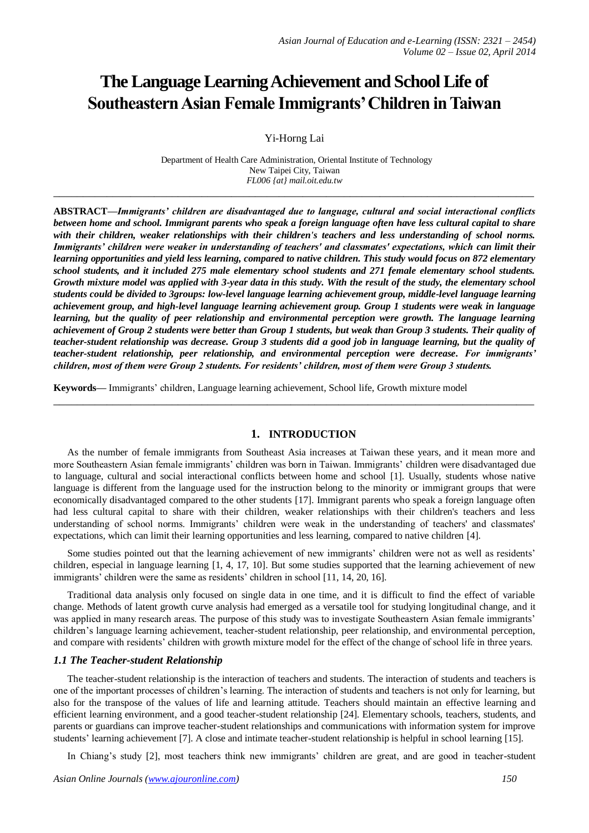# **The Language Learning Achievement and School Life of Southeastern Asian Female Immigrants' Children in Taiwan**

Yi-Horng Lai

Department of Health Care Administration, Oriental Institute of Technology New Taipei City, Taiwan *FL006 {at} mail.oit.edu.tw*

**\_\_\_\_\_\_\_\_\_\_\_\_\_\_\_\_\_\_\_\_\_\_\_\_\_\_\_\_\_\_\_\_\_\_\_\_\_\_\_\_\_\_\_\_\_\_\_\_\_\_\_\_\_\_\_\_\_\_\_\_\_\_\_\_\_\_\_\_\_\_\_\_\_\_\_\_\_\_\_\_\_**

**ABSTRACT—***Immigrants' children are disadvantaged due to language, cultural and social interactional conflicts between home and school. Immigrant parents who speak a foreign language often have less cultural capital to share with their children, weaker relationships with their children's teachers and less understanding of school norms. Immigrants' children were weaker in understanding of teachers' and classmates' expectations, which can limit their learning opportunities and yield less learning, compared to native children. This study would focus on 872 elementary school students, and it included 275 male elementary school students and 271 female elementary school students. Growth mixture model was applied with 3-year data in this study. With the result of the study, the elementary school students could be divided to 3groups: low-level language learning achievement group, middle-level language learning achievement group, and high-level language learning achievement group. Group 1 students were weak in language learning, but the quality of peer relationship and environmental perception were growth. The language learning achievement of Group 2 students were better than Group 1 students, but weak than Group 3 students. Their quality of teacher-student relationship was decrease. Group 3 students did a good job in language learning, but the quality of teacher-student relationship, peer relationship, and environmental perception were decrease. For immigrants' children, most of them were Group 2 students. For residents' children, most of them were Group 3 students.*

**Keywords—** Immigrants' children, Language learning achievement, School life, Growth mixture model

# **1. INTRODUCTION**

**\_\_\_\_\_\_\_\_\_\_\_\_\_\_\_\_\_\_\_\_\_\_\_\_\_\_\_\_\_\_\_\_\_\_\_\_\_\_\_\_\_\_\_\_\_\_\_\_\_\_\_\_\_\_\_\_\_\_\_\_\_\_\_\_\_\_\_\_\_\_\_\_\_\_\_\_\_\_\_\_\_**

As the number of female immigrants from Southeast Asia increases at Taiwan these years, and it mean more and more Southeastern Asian female immigrants' children was born in Taiwan. Immigrants' children were disadvantaged due to language, cultural and social interactional conflicts between home and school [1]. Usually, students whose native language is different from the language used for the instruction belong to the minority or immigrant groups that were economically disadvantaged compared to the other students [17]. Immigrant parents who speak a foreign language often had less cultural capital to share with their children, weaker relationships with their children's teachers and less understanding of school norms. Immigrants' children were weak in the understanding of teachers' and classmates' expectations, which can limit their learning opportunities and less learning, compared to native children [4].

Some studies pointed out that the learning achievement of new immigrants' children were not as well as residents' children, especial in language learning [1, 4, 17, 10]. But some studies supported that the learning achievement of new immigrants' children were the same as residents' children in school [11, 14, 20, 16].

Traditional data analysis only focused on single data in one time, and it is difficult to find the effect of variable change. Methods of latent growth curve analysis had emerged as a versatile tool for studying longitudinal change, and it was applied in many research areas. The purpose of this study was to investigate Southeastern Asian female immigrants' children's language learning achievement, teacher-student relationship, peer relationship, and environmental perception, and compare with residents' children with growth mixture model for the effect of the change of school life in three years.

# *1.1 The Teacher-student Relationship*

The teacher-student relationship is the interaction of teachers and students. The interaction of students and teachers is one of the important processes of children's learning. The interaction of students and teachers is not only for learning, but also for the transpose of the values of life and learning attitude. Teachers should maintain an effective learning and efficient learning environment, and a good teacher-student relationship [24]. Elementary schools, teachers, students, and parents or guardians can improve teacher-student relationships and communications with information system for improve students' learning achievement [7]. A close and intimate teacher-student relationship is helpful in school learning [15].

In Chiang's study [2], most teachers think new immigrants' children are great, and are good in teacher-student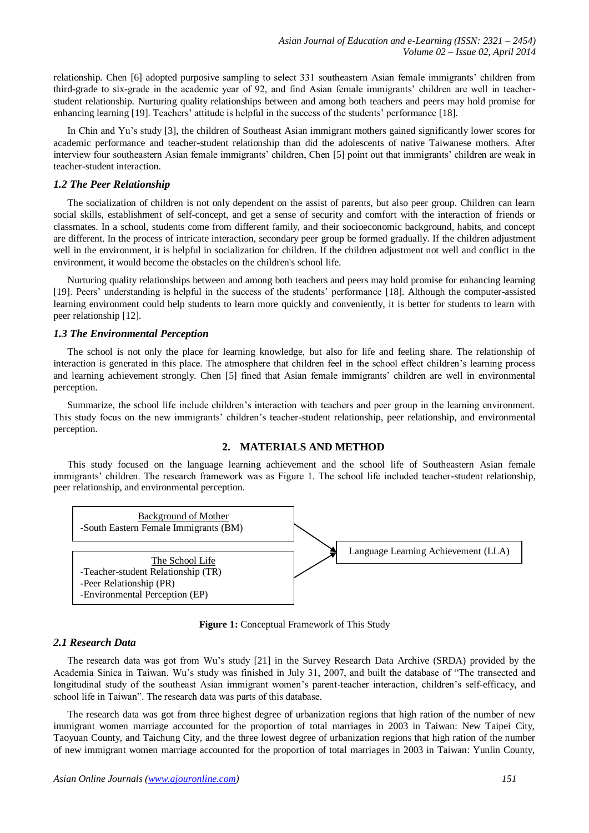relationship. Chen [6] adopted purposive sampling to select 331 southeastern Asian female immigrants' children from third-grade to six-grade in the academic year of 92, and find Asian female immigrants' children are well in teacherstudent relationship. Nurturing quality relationships between and among both teachers and peers may hold promise for enhancing learning [19]. Teachers' attitude is helpful in the success of the students' performance [18].

In Chin and Yu's study [3], the children of Southeast Asian immigrant mothers gained significantly lower scores for academic performance and teacher-student relationship than did the adolescents of native Taiwanese mothers. After interview four southeastern Asian female immigrants' children, Chen [5] point out that immigrants' children are weak in teacher-student interaction.

#### *1.2 The Peer Relationship*

The socialization of children is not only dependent on the assist of parents, but also peer group. Children can learn social skills, establishment of self-concept, and get a sense of security and comfort with the interaction of friends or classmates. In a school, students come from different family, and their socioeconomic background, habits, and concept are different. In the process of intricate interaction, secondary peer group be formed gradually. If the children adjustment well in the environment, it is helpful in socialization for children. If the children adjustment not well and conflict in the environment, it would become the obstacles on the children's school life.

Nurturing quality relationships between and among both teachers and peers may hold promise for enhancing learning [19]. Peers' understanding is helpful in the success of the students' performance [18]. Although the computer-assisted learning environment could help students to learn more quickly and conveniently, it is better for students to learn with peer relationship [12].

#### *1.3 The Environmental Perception*

The school is not only the place for learning knowledge, but also for life and feeling share. The relationship of interaction is generated in this place. The atmosphere that children feel in the school effect children's learning process and learning achievement strongly. Chen [5] fined that Asian female immigrants' children are well in environmental perception.

Summarize, the school life include children's interaction with teachers and peer group in the learning environment. This study focus on the new immigrants' children's teacher-student relationship, peer relationship, and environmental perception.

## **2. MATERIALS AND METHOD**

This study focused on the language learning achievement and the school life of Southeastern Asian female immigrants' children. The research framework was as Figure 1. The school life included teacher-student relationship, peer relationship, and environmental perception.



**Figure 1:** Conceptual Framework of This Study

## *2.1 Research Data*

The research data was got from Wu's study [21] in the Survey Research Data Archive (SRDA) provided by the Academia Sinica in Taiwan. Wu's study was finished in July 31, 2007, and built the database of "The transected and longitudinal study of the southeast Asian immigrant women's parent-teacher interaction, children's self-efficacy, and school life in Taiwan". The research data was parts of this database.

The research data was got from three highest degree of urbanization regions that high ration of the number of new immigrant women marriage accounted for the proportion of total marriages in 2003 in Taiwan: New Taipei City, Taoyuan County, and Taichung City, and the three lowest degree of urbanization regions that high ration of the number of new immigrant women marriage accounted for the proportion of total marriages in 2003 in Taiwan: Yunlin County,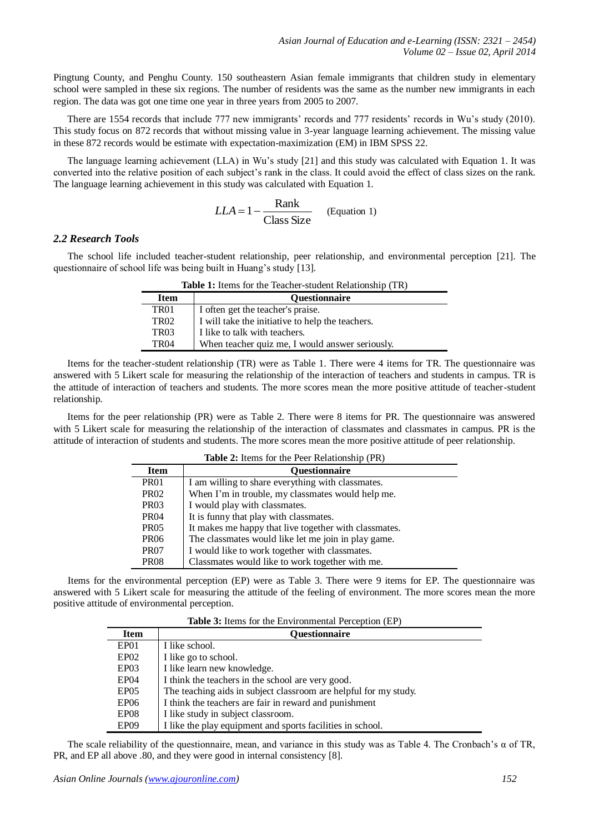Pingtung County, and Penghu County. 150 southeastern Asian female immigrants that children study in elementary school were sampled in these six regions. The number of residents was the same as the number new immigrants in each region. The data was got one time one year in three years from 2005 to 2007.

There are 1554 records that include 777 new immigrants' records and 777 residents' records in Wu's study (2010). This study focus on 872 records that without missing value in 3-year language learning achievement. The missing value in these 872 records would be estimate with expectation-maximization (EM) in IBM SPSS 22.

The language learning achievement (LLA) in Wu's study [21] and this study was calculated with Equation 1. It was converted into the relative position of each subject's rank in the class. It could avoid the effect of class sizes on the rank. The language learning achievement in this study was calculated with Equation 1.

$$
LLA = 1 - \frac{Rank}{Class Size}
$$
 (Equation 1)

## *2.2 Research Tools*

The school life included teacher-student relationship, peer relationship, and environmental perception [21]. The questionnaire of school life was being built in Huang's study [13].

| <b>Table 1:</b> Items for the Teacher-student Relationship (TR) |                                                  |  |
|-----------------------------------------------------------------|--------------------------------------------------|--|
| <b>Item</b>                                                     | <b>Ouestionnaire</b>                             |  |
| TR01                                                            | I often get the teacher's praise.                |  |
| TR02                                                            | I will take the initiative to help the teachers. |  |
| <b>TR03</b>                                                     | I like to talk with teachers.                    |  |
| <b>TR04</b>                                                     | When teacher quiz me, I would answer seriously.  |  |

Items for the teacher-student relationship (TR) were as Table 1. There were 4 items for TR. The questionnaire was answered with 5 Likert scale for measuring the relationship of the interaction of teachers and students in campus. TR is the attitude of interaction of teachers and students. The more scores mean the more positive attitude of teacher-student relationship.

Items for the peer relationship (PR) were as Table 2. There were 8 items for PR. The questionnaire was answered with 5 Likert scale for measuring the relationship of the interaction of classmates and classmates in campus. PR is the attitude of interaction of students and students. The more scores mean the more positive attitude of peer relationship.

| <b>Table 2:</b> Items for the Peer Relationship (PR) |                                                       |  |
|------------------------------------------------------|-------------------------------------------------------|--|
| <b>Item</b>                                          | <b>Questionnaire</b>                                  |  |
| <b>PR01</b>                                          | I am willing to share everything with classmates.     |  |
| PR <sub>02</sub>                                     | When I'm in trouble, my classmates would help me.     |  |
| PR <sub>03</sub>                                     | I would play with classmates.                         |  |
| <b>PR04</b>                                          | It is funny that play with classmates.                |  |
| PR <sub>05</sub>                                     | It makes me happy that live together with classmates. |  |
| PR <sub>06</sub>                                     | The classmates would like let me join in play game.   |  |
| PR <sub>07</sub>                                     | I would like to work together with classmates.        |  |
| <b>PR08</b>                                          | Classmates would like to work together with me.       |  |

Items for the environmental perception (EP) were as Table 3. There were 9 items for EP. The questionnaire was answered with 5 Likert scale for measuring the attitude of the feeling of environment. The more scores mean the more positive attitude of environmental perception.

|                  | <b>Table 3:</b> Items for the Environmental Perception (EP)      |  |  |
|------------------|------------------------------------------------------------------|--|--|
| <b>Item</b>      | Questionnaire                                                    |  |  |
| EP <sub>01</sub> | I like school.                                                   |  |  |
| EPO2             | I like go to school.                                             |  |  |
| EP <sub>03</sub> | I like learn new knowledge.                                      |  |  |
| EP <sub>04</sub> | I think the teachers in the school are very good.                |  |  |
| EPO5             | The teaching aids in subject classroom are helpful for my study. |  |  |
| EP <sub>06</sub> | I think the teachers are fair in reward and punishment           |  |  |
| EP <sub>08</sub> | I like study in subject classroom.                               |  |  |
| EP <sub>09</sub> | I like the play equipment and sports facilities in school.       |  |  |

The scale reliability of the questionnaire, mean, and variance in this study was as Table 4. The Cronbach's α of TR, PR, and EP all above .80, and they were good in internal consistency [8].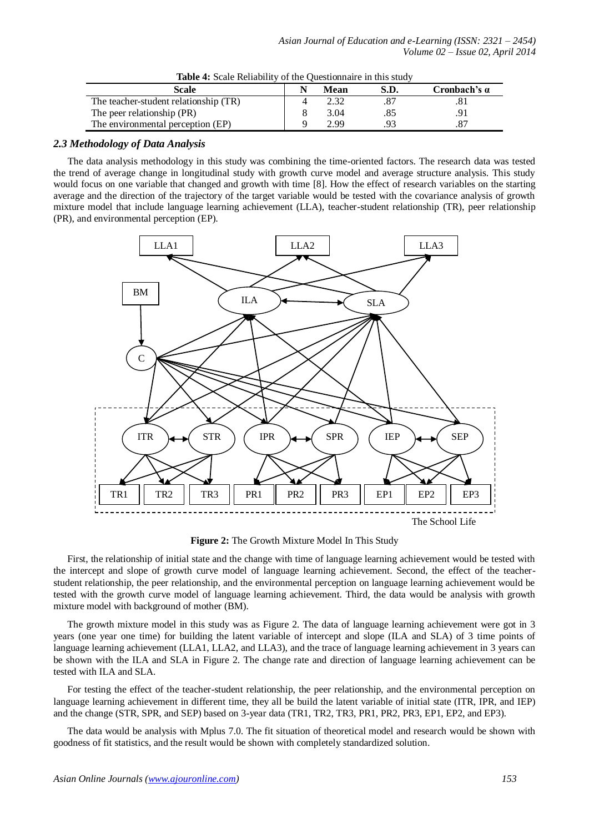| Scale                                 | Mean | S.D. | Cronbach's $\alpha$ |
|---------------------------------------|------|------|---------------------|
| The teacher-student relationship (TR) |      |      |                     |
| The peer relationship (PR)            | 3.04 |      |                     |
| The environmental perception (EP)     | 2.99 |      |                     |

**Table 4:** Scale Reliability of the Questionnaire in this study

## *2.3 Methodology of Data Analysis*

The data analysis methodology in this study was combining the time-oriented factors. The research data was tested the trend of average change in longitudinal study with growth curve model and average structure analysis. This study would focus on one variable that changed and growth with time [8]. How the effect of research variables on the starting average and the direction of the trajectory of the target variable would be tested with the covariance analysis of growth mixture model that include language learning achievement (LLA), teacher-student relationship (TR), peer relationship (PR), and environmental perception (EP).



**Figure 2:** The Growth Mixture Model In This Study

First, the relationship of initial state and the change with time of language learning achievement would be tested with the intercept and slope of growth curve model of language learning achievement. Second, the effect of the teacherstudent relationship, the peer relationship, and the environmental perception on language learning achievement would be tested with the growth curve model of language learning achievement. Third, the data would be analysis with growth mixture model with background of mother (BM).

The growth mixture model in this study was as Figure 2. The data of language learning achievement were got in 3 years (one year one time) for building the latent variable of intercept and slope (ILA and SLA) of 3 time points of language learning achievement (LLA1, LLA2, and LLA3), and the trace of language learning achievement in 3 years can be shown with the ILA and SLA in Figure 2. The change rate and direction of language learning achievement can be tested with ILA and SLA.

For testing the effect of the teacher-student relationship, the peer relationship, and the environmental perception on language learning achievement in different time, they all be build the latent variable of initial state (ITR, IPR, and IEP) and the change (STR, SPR, and SEP) based on 3-year data (TR1, TR2, TR3, PR1, PR2, PR3, EP1, EP2, and EP3).

The data would be analysis with Mplus 7.0. The fit situation of theoretical model and research would be shown with goodness of fit statistics, and the result would be shown with completely standardized solution.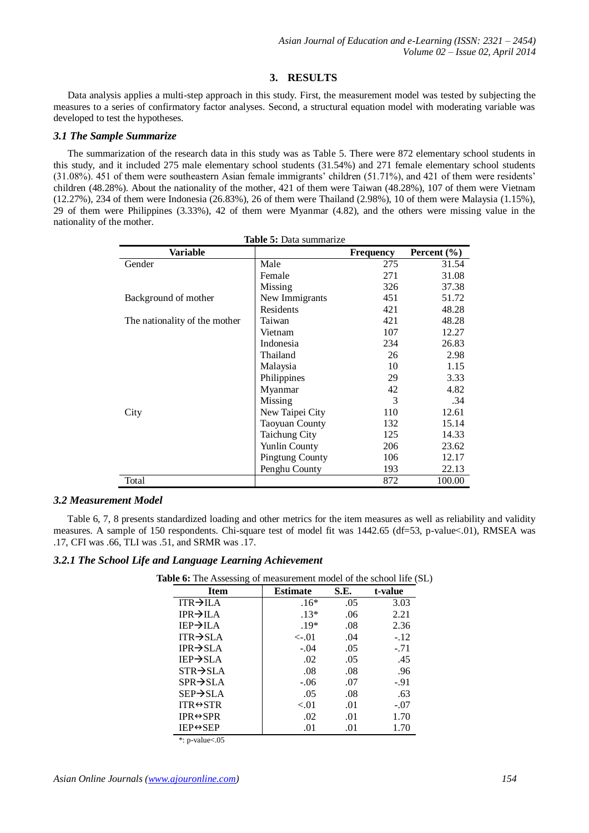## **3. RESULTS**

Data analysis applies a multi-step approach in this study. First, the measurement model was tested by subjecting the measures to a series of confirmatory factor analyses. Second, a structural equation model with moderating variable was developed to test the hypotheses.

## *3.1 The Sample Summarize*

The summarization of the research data in this study was as Table 5. There were 872 elementary school students in this study, and it included 275 male elementary school students (31.54%) and 271 female elementary school students (31.08%). 451 of them were southeastern Asian female immigrants' children (51.71%), and 421 of them were residents' children (48.28%). About the nationality of the mother, 421 of them were Taiwan (48.28%), 107 of them were Vietnam (12.27%), 234 of them were Indonesia (26.83%), 26 of them were Thailand (2.98%), 10 of them were Malaysia (1.15%), 29 of them were Philippines (3.33%), 42 of them were Myanmar (4.82), and the others were missing value in the nationality of the mother.

| Variable                      |                        | Frequency | Percent $(\% )$ |
|-------------------------------|------------------------|-----------|-----------------|
| Gender                        | Male                   | 275       | 31.54           |
|                               | Female                 | 271       | 31.08           |
|                               | Missing                | 326       | 37.38           |
| Background of mother          | New Immigrants         | 451       | 51.72           |
|                               | <b>Residents</b>       | 421       | 48.28           |
| The nationality of the mother | Taiwan                 | 421       | 48.28           |
|                               | Vietnam                | 107       | 12.27           |
|                               | Indonesia              | 234       | 26.83           |
|                               | Thailand               | 26        | 2.98            |
|                               | Malaysia               | 10        | 1.15            |
|                               | Philippines            | 29        | 3.33            |
|                               | Myanmar                | 42        | 4.82            |
|                               | Missing                | 3         | .34             |
| City                          | New Taipei City        | 110       | 12.61           |
|                               | <b>Taoyuan County</b>  | 132       | 15.14           |
|                               | <b>Taichung City</b>   | 125       | 14.33           |
|                               | <b>Yunlin County</b>   | 206       | 23.62           |
|                               | <b>Pingtung County</b> | 106       | 12.17           |
|                               | Penghu County          | 193       | 22.13           |
| Total                         |                        | 872       | 100.00          |

**Table 5:** Data summarize

## *3.2 Measurement Model*

Table 6, 7, 8 presents standardized loading and other metrics for the item measures as well as reliability and validity measures. A sample of 150 respondents. Chi-square test of model fit was 1442.65 (df=53, p-value<.01), RMSEA was .17, CFI was .66, TLI was .51, and SRMR was .17.

# *3.2.1 The School Life and Language Learning Achievement*

|  |  | Table 6: The Assessing of measurement model of the school life (SL) |  |  |  |
|--|--|---------------------------------------------------------------------|--|--|--|
|--|--|---------------------------------------------------------------------|--|--|--|

| <b>Item</b>               | <b>Estimate</b> | S.E. | t-value |
|---------------------------|-----------------|------|---------|
| $ITR \rightarrow ILA$     | $.16*$          | .05  | 3.03    |
| $IPR \rightarrow ILA$     | $.13*$          | .06  | 2.21    |
| $IEP \rightarrow ILA$     | $.19*$          | .08  | 2.36    |
| $ITR \rightarrow SLA$     | $\lt$ -.01      | .04  | $-.12$  |
| $IPR \rightarrow SLA$     | $-.04$          | .05  | $-.71$  |
| $IEP \rightarrow SLA$     | .02             | .05  | .45     |
| $STR \rightarrow SLA$     | .08             | .08  | .96     |
| $SPR \rightarrow SLA$     | $-.06$          | .07  | $-.91$  |
| $SEP \rightarrow SLA$     | .05             | .08  | .63     |
| $ITR \leftrightarrow STR$ | $-.01$          | .01  | $-.07$  |
| $IPR \leftrightarrow SPR$ | .02             | .01  | 1.70    |
| $IEP \leftrightarrow SEP$ | .01             | .01  | 1.70    |

\*: p-value<.05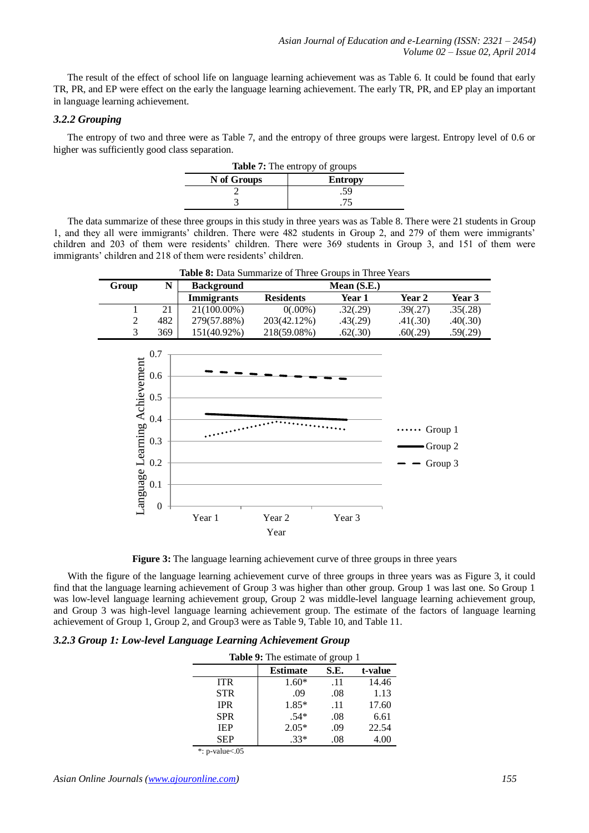The result of the effect of school life on language learning achievement was as Table 6. It could be found that early TR, PR, and EP were effect on the early the language learning achievement. The early TR, PR, and EP play an important in language learning achievement.

## *3.2.2 Grouping*

The entropy of two and three were as Table 7, and the entropy of three groups were largest. Entropy level of 0.6 or higher was sufficiently good class separation.

| <b>Table 7:</b> The entropy of groups |                |  |
|---------------------------------------|----------------|--|
| N of Groups                           | <b>Entropy</b> |  |
|                                       | .59            |  |
|                                       |                |  |
|                                       |                |  |

The data summarize of these three groups in this study in three years was as Table 8. There were 21 students in Group 1, and they all were immigrants' children. There were 482 students in Group 2, and 279 of them were immigrants' children and 203 of them were residents' children. There were 369 students in Group 3, and 151 of them were immigrants' children and 218 of them were residents' children.

| Group | N   | <b>Background</b> | Mean $(S.E.)$    |          |               |          |
|-------|-----|-------------------|------------------|----------|---------------|----------|
|       |     | Immigrants        | <b>Residents</b> | Year 1   | <b>Year 2</b> | Year 3   |
|       | 21  | 21(100.00%)       | $0(.00\%)$       | .32(.29) | .39(.27)      | .35(.28) |
|       | 482 | 279(57.88%)       | 203(42.12%)      | .43(.29) | .41(.30)      | .40(.30) |
|       | 369 | 151(40.92%)       | 218(59.08%)      | .62(.30) | .60(.29)      | .59(.29) |

**Table 8:** Data Summarize of Three Groups in Three Years



**Figure 3:** The language learning achievement curve of three groups in three years

With the figure of the language learning achievement curve of three groups in three years was as Figure 3, it could find that the language learning achievement of Group 3 was higher than other group. Group 1 was last one. So Group 1 was low-level language learning achievement group, Group 2 was middle-level language learning achievement group, and Group 3 was high-level language learning achievement group. The estimate of the factors of language learning achievement of Group 1, Group 2, and Group3 were as Table 9, Table 10, and Table 11.

## *3.2.3 Group 1: Low-level Language Learning Achievement Group*

| <b>Table 9:</b> The estimate of group 1 |                 |                 |       |  |  |  |
|-----------------------------------------|-----------------|-----------------|-------|--|--|--|
|                                         | <b>Estimate</b> | S.E.<br>t-value |       |  |  |  |
| <b>ITR</b>                              | $1.60*$         | .11             | 14.46 |  |  |  |
| <b>STR</b>                              | .09             | .08             | 1.13  |  |  |  |
| <b>IPR</b>                              | 1.85*           | .11             | 17.60 |  |  |  |
| <b>SPR</b>                              | $.54*$          | .08             | 6.61  |  |  |  |
| <b>IEP</b>                              | $2.05*$         | .09             | 22.54 |  |  |  |
| <b>SEP</b>                              | $.33*$          | .08             | 4.00  |  |  |  |

\*: p-value<.05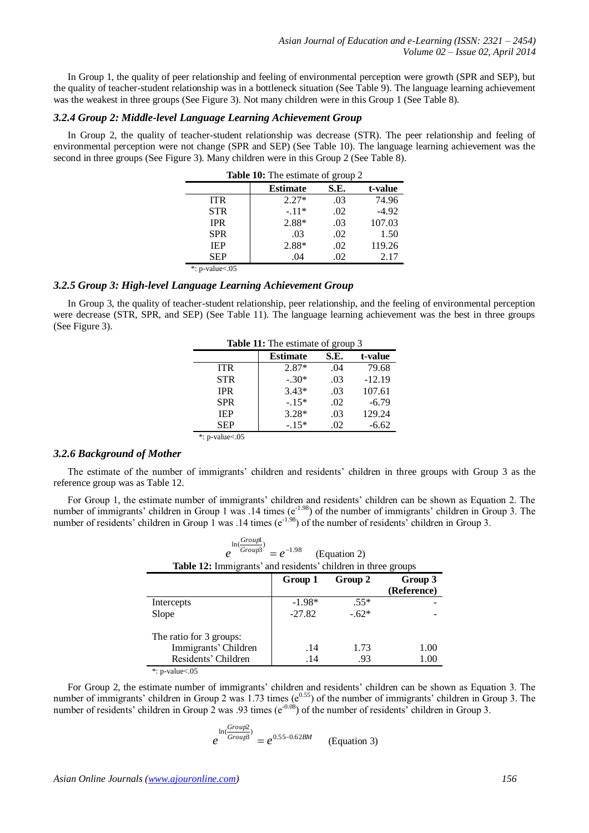In Group 1, the quality of peer relationship and feeling of environmental perception were growth (SPR and SEP), but the quality of teacher-student relationship was in a bottleneck situation (See Table 9). The language learning achievement was the weakest in three groups (See Figure 3). Not many children were in this Group 1 (See Table 8).

#### *3.2.4 Group 2: Middle-level Language Learning Achievement Group*

In Group 2, the quality of teacher-student relationship was decrease (STR). The peer relationship and feeling of environmental perception were not change (SPR and SEP) (See Table 10). The language learning achievement was the second in three groups (See Figure 3). Many children were in this Group 2 (See Table 8).

|                        | <b>Table 10:</b> The estimate of group 2 |      |         |  |  |
|------------------------|------------------------------------------|------|---------|--|--|
|                        | <b>Estimate</b>                          | S.E. | t-value |  |  |
| <b>ITR</b>             | $2.27*$                                  | .03  | 74.96   |  |  |
| <b>STR</b>             | $-.11*$                                  | .02  | $-4.92$ |  |  |
| <b>IPR</b>             | 2.88*                                    | .03  | 107.03  |  |  |
| <b>SPR</b>             | .03                                      | .02  | 1.50    |  |  |
| <b>IEP</b>             | 2.88*                                    | .02  | 119.26  |  |  |
| <b>SEP</b>             | .04                                      | .02  | 2.17    |  |  |
| *: $p$ -value $< 0.05$ |                                          |      |         |  |  |

## *3.2.5 Group 3: High-level Language Learning Achievement Group*

In Group 3, the quality of teacher-student relationship, peer relationship, and the feeling of environmental perception were decrease (STR, SPR, and SEP) (See Table 11). The language learning achievement was the best in three groups (See Figure 3).

| Table 11: The estimate of group 3 |                                    |     |          |  |  |
|-----------------------------------|------------------------------------|-----|----------|--|--|
|                                   | <b>Estimate</b><br>S.E.<br>t-value |     |          |  |  |
| <b>ITR</b>                        | $2.87*$                            | .04 | 79.68    |  |  |
| <b>STR</b>                        | $-.30*$                            | .03 | $-12.19$ |  |  |
| <b>IPR</b>                        | $3.43*$                            | .03 | 107.61   |  |  |
| <b>SPR</b>                        | $-.15*$                            | .02 | $-6.79$  |  |  |
| <b>IEP</b>                        | $3.28*$                            | .03 | 129.24   |  |  |
| <b>SEP</b>                        | $-.15*$                            | .02 | $-6.62$  |  |  |

#### \*: p-value<.05

## *3.2.6 Background of Mother*

The estimate of the number of immigrants' children and residents' children in three groups with Group 3 as the reference group was as Table 12.

For Group 1, the estimate number of immigrants' children and residents' children can be shown as Equation 2. The number of immigrants' children in Group 1 was .14 times  $(e^{-1.98})$  of the number of immigrants' children in Group 3. The number of residents' children in Group 1 was .14 times ( $e^{-1.98}$ ) of the number of residents' children in Group 3.

| $ln(\frac{Group1}{)}$<br>Group3<br>$= e^{-1.98}$<br>(Equation 2)<br>Table 12: Immigrants' and residents' children in three groups |          |         |                        |
|-----------------------------------------------------------------------------------------------------------------------------------|----------|---------|------------------------|
|                                                                                                                                   | Group 1  | Group 2 | Group 3<br>(Reference) |
| Intercepts                                                                                                                        | $-1.98*$ | $.55*$  |                        |
| Slope                                                                                                                             | $-27.82$ | $-.62*$ |                        |
| The ratio for 3 groups:                                                                                                           |          |         |                        |
| Immigrants' Children                                                                                                              | .14      | 1.73    | 1.00                   |
| Residents' Children                                                                                                               | .14      | .93     | 1.00                   |
| *: $p$ -value $< 0.05$                                                                                                            |          |         |                        |

For Group 2, the estimate number of immigrants' children and residents' children can be shown as Equation 3. The number of immigrants' children in Group 2 was 1.73 times ( $e^{0.55}$ ) of the number of immigrants' children in Group 3. The number of residents' children in Group 2 was .93 times ( $e^{-0.08}$ ) of the number of residents' children in Group 3.

$$
e^{\ln(\frac{Group2}{Group3})} = e^{0.55 - 0.62BM}
$$
 (Equation 3)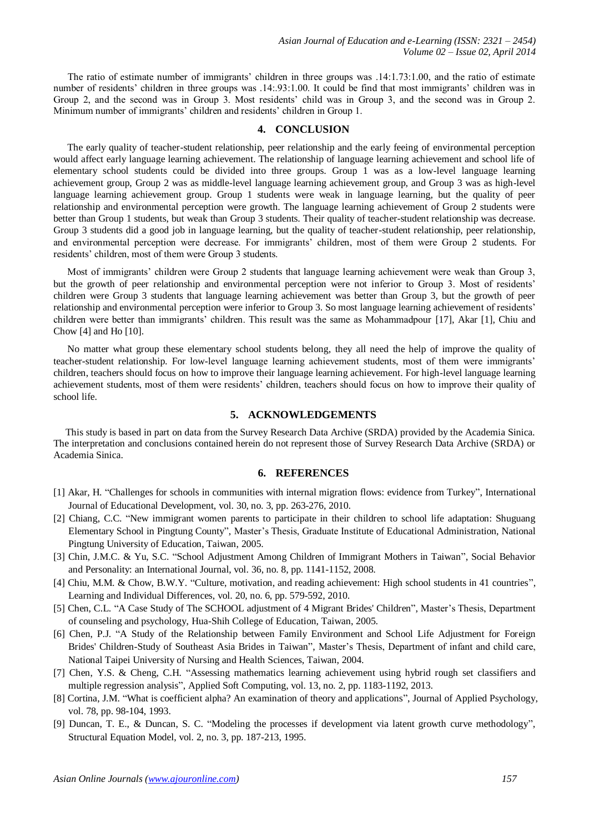The ratio of estimate number of immigrants' children in three groups was .14:1.73:1.00, and the ratio of estimate number of residents' children in three groups was .14:.93:1.00. It could be find that most immigrants' children was in Group 2, and the second was in Group 3. Most residents' child was in Group 3, and the second was in Group 2. Minimum number of immigrants' children and residents' children in Group 1.

### **4. CONCLUSION**

The early quality of teacher-student relationship, peer relationship and the early feeing of environmental perception would affect early language learning achievement. The relationship of language learning achievement and school life of elementary school students could be divided into three groups. Group 1 was as a low-level language learning achievement group, Group 2 was as middle-level language learning achievement group, and Group 3 was as high-level language learning achievement group. Group 1 students were weak in language learning, but the quality of peer relationship and environmental perception were growth. The language learning achievement of Group 2 students were better than Group 1 students, but weak than Group 3 students. Their quality of teacher-student relationship was decrease. Group 3 students did a good job in language learning, but the quality of teacher-student relationship, peer relationship, and environmental perception were decrease. For immigrants' children, most of them were Group 2 students. For residents' children, most of them were Group 3 students.

Most of immigrants' children were Group 2 students that language learning achievement were weak than Group 3, but the growth of peer relationship and environmental perception were not inferior to Group 3. Most of residents' children were Group 3 students that language learning achievement was better than Group 3, but the growth of peer relationship and environmental perception were inferior to Group 3. So most language learning achievement of residents' children were better than immigrants' children. This result was the same as Mohammadpour [17], Akar [1], Chiu and Chow [4] and Ho [10].

No matter what group these elementary school students belong, they all need the help of improve the quality of teacher-student relationship. For low-level language learning achievement students, most of them were immigrants' children, teachers should focus on how to improve their language learning achievement. For high-level language learning achievement students, most of them were residents' children, teachers should focus on how to improve their quality of school life.

## **5. ACKNOWLEDGEMENTS**

This study is based in part on data from the Survey Research Data Archive (SRDA) provided by the Academia Sinica. The interpretation and conclusions contained herein do not represent those of Survey Research Data Archive (SRDA) or Academia Sinica.

#### **6. REFERENCES**

- [1] Akar, H. "Challenges for schools in communities with internal migration flows: evidence from Turkey", International Journal of Educational Development, vol. 30, no. 3, pp. 263-276, 2010.
- [2] Chiang, C.C. "New immigrant women parents to participate in their children to school life adaptation: Shuguang Elementary School in Pingtung County", Master's Thesis, Graduate Institute of Educational Administration, National Pingtung University of Education, Taiwan, 2005.
- [3] Chin, J.M.C. & Yu, S.C. "School Adjustment Among Children of Immigrant Mothers in Taiwan", Social Behavior and Personality: an International Journal, vol. 36, no. 8, pp. 1141-1152, 2008.
- [4] Chiu, M.M. & Chow, B.W.Y. "Culture, motivation, and reading achievement: High school students in 41 countries", Learning and Individual Differences, vol. 20, no. 6, pp. 579-592, 2010.
- [5] Chen, C.L. "A Case Study of The SCHOOL adjustment of 4 Migrant Brides' Children", Master's Thesis, Department of counseling and psychology, Hua-Shih College of Education, Taiwan, 2005.
- [6] Chen, P.J. "A Study of the Relationship between Family Environment and School Life Adjustment for Foreign Brides' Children-Study of Southeast Asia Brides in Taiwan", Master's Thesis, Department of infant and child care, National Taipei University of Nursing and Health Sciences, Taiwan, 2004.
- [7] Chen, Y.S. & Cheng, C.H. "Assessing mathematics learning achievement using hybrid rough set classifiers and multiple regression analysis", Applied Soft Computing, vol. 13, no. 2, pp. 1183-1192, 2013.
- [8] Cortina, J.M. "What is coefficient alpha? An examination of theory and applications", Journal of Applied Psychology, vol. 78, pp. 98-104, 1993.
- [9] Duncan, T. E., & Duncan, S. C. "Modeling the processes if development via latent growth curve methodology", Structural Equation Model, vol. 2, no. 3, pp. 187-213, 1995.